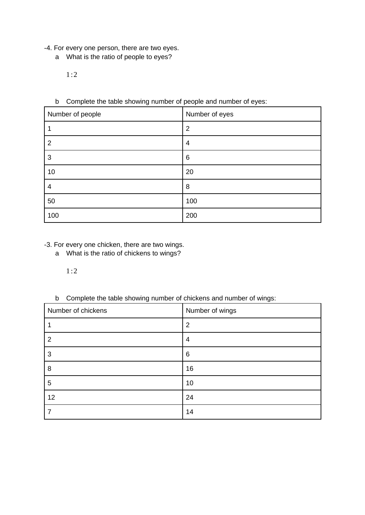- -4. For every one person, there are two eyes.
	- a What is the ratio of people to eyes?

 $1:2$ 

#### b Complete the table showing number of people and number of eyes:

| Number of people | Number of eyes |
|------------------|----------------|
| 1                | $\overline{2}$ |
| $\overline{2}$   | 4              |
| 3                | 6              |
| 10               | 20             |
| 4                | 8              |
| 50               | 100            |
| 100              | 200            |

#### -3. For every one chicken, there are two wings.

a What is the ratio of chickens to wings?

#### $1:2$

#### b Complete the table showing number of chickens and number of wings:

| Number of chickens | Number of wings |
|--------------------|-----------------|
| 1                  | $\overline{2}$  |
| $\overline{2}$     | 4               |
| 3                  | 6               |
| 8                  | 16              |
| 5                  | 10              |
| 12                 | 24              |
| 7                  | 14              |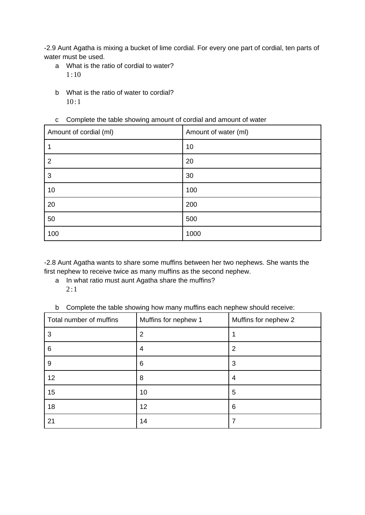-2.9 Aunt Agatha is mixing a bucket of lime cordial. For every one part of cordial, ten parts of water must be used.

- a What is the ratio of cordial to water?  $1:10$
- b What is the ratio of water to cordial?  $10:1$

#### c Complete the table showing amount of cordial and amount of water

| Amount of cordial (ml) | Amount of water (ml) |
|------------------------|----------------------|
| 1                      | 10                   |
| $\overline{2}$         | 20                   |
| 3                      | 30                   |
| 10                     | 100                  |
| 20                     | 200                  |
| 50                     | 500                  |
| 100                    | 1000                 |

-2.8 Aunt Agatha wants to share some muffins between her two nephews. She wants the first nephew to receive twice as many muffins as the second nephew.

- a In what ratio must aunt Agatha share the muffins?  $2:1$
- b Complete the table showing how many muffins each nephew should receive:

| Total number of muffins | Muffins for nephew 1 | Muffins for nephew 2 |
|-------------------------|----------------------|----------------------|
| 3                       | 2                    |                      |
| 6                       | 4                    | 2                    |
| 9                       | 6                    | 3                    |
| 12                      | 8                    | 4                    |
| 15                      | 10                   | 5                    |
| 18                      | 12                   | 6                    |
| 21                      | 14                   | 7                    |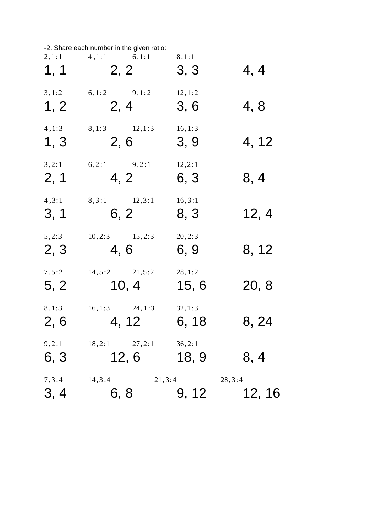|                | -2. Share each number in the given ratio: |                  |        |
|----------------|-------------------------------------------|------------------|--------|
| 2,1:1          | $4,1:1$ 6,1:1                             | 8, 1:1           | 4, 4   |
| 1, 1           | 2, 2                                      | 3, 3             |        |
| 3, 1:2         | $6, 1:2$ $9, 1:2$                         | 12, 1:2          | 4,8    |
| 1, 2           | 2, 4                                      | 3, 6             |        |
| 4, 1:3         | 8,1:3 12,1:3                              | 16, 1:3          | 4, 12  |
| 1, 3           | 2,6                                       | 3, 9             |        |
| 3,2:1          | $6,2:1$ $9,2:1$                           | 12, 2:1          | 8, 4   |
| 2, 1           | 4, 2                                      | 6, 3             |        |
| 4, 3:1         | 8,3:1 12,3:1                              | 16, 3:1          | 12, 4  |
| 3, 1           | 6, 2                                      | 8, 3             |        |
| 5,2:3          | $10,2:3$ $15,2:3$                         | 20, 2:3          | 8, 12  |
| 2, 3           | 4,6                                       | 6, 9             |        |
| 7, 5:2         | $14,5:2$ $21,5:2$                         | 28, 1:2          | 20, 8  |
| 5, 2           | 10, 4                                     | 15, 6            |        |
| 8, 1:3<br>2, 6 | 16, 1:3<br>24, 1:3<br>4, 12               | 32, 1:3<br>6, 18 | 8, 24  |
| 9,2:1<br>6, 3  | 18, 2:1<br>27, 2:1<br>12, 6               | 36, 2:1<br>18, 9 | 8, 4   |
| 7, 3:4<br>3, 4 | 14, 3:4<br>21, 3:4<br>6, 8                | 28, 3:4<br>9, 12 | 12, 16 |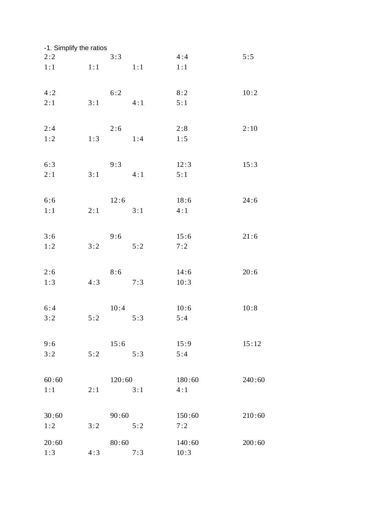| -1. Simplify the ratios |     |        |     |        |        |
|-------------------------|-----|--------|-----|--------|--------|
| 2:2                     |     | 3:3    |     | 4:4    | 5:5    |
| 1:1                     | 1:1 |        | 1:1 | 1:1    |        |
| 4:2                     |     | 6:2    |     | 8:2    | 10:2   |
| 2:1                     | 3:1 |        | 4:1 | 5:1    |        |
| 2:4                     |     | 2:6    |     | 2:8    | 2:10   |
| 1:2                     | 1:3 |        | 1:4 | 1:5    |        |
| 6:3                     |     | 9:3    |     | 12:3   | 15:3   |
| 2:1                     | 3:1 |        | 4:1 | 5:1    |        |
| 6:6                     |     | 12:6   |     | 18:6   | 24:6   |
| 1:1                     | 2:1 |        | 3:1 | 4:1    |        |
| 3:6                     |     | 9:6    |     | 15:6   | 21:6   |
| 1:2                     | 3:2 |        | 5:2 | 7:2    |        |
| 2:6                     |     | 8:6    |     | 14:6   | 20:6   |
| 1:3                     | 4:3 |        | 7:3 | 10:3   |        |
| 6:4                     |     | 10:4   |     | 10:6   | 10:8   |
| 3:2                     | 5:2 |        | 5:3 | 5:4    |        |
| 9:6                     |     | 15:6   |     | 15:9   | 15:12  |
| 3:2                     | 5:2 |        | 5:3 | 5:4    |        |
| 60:60                   |     | 120:60 |     | 180:60 | 240:60 |
| 1:1                     | 2:1 |        | 3:1 | 4:1    |        |
| 30:60                   |     | 90:60  |     | 150:60 | 210:60 |
| 1:2                     | 3:2 |        | 5:2 | 7:2    |        |
| 20:60                   |     | 80:60  |     | 140:60 | 200:60 |
| 1:3                     | 4:3 |        | 7:3 | 10:3   |        |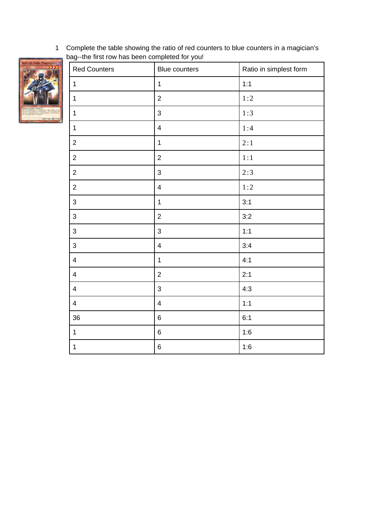Complete the table showing the ratio of red counters to blue counters in a magician's bag--the first row has been completed for you!



| $\ddot{\phantom{0}}$ | $\sim$ $\sim$            |                        |
|----------------------|--------------------------|------------------------|
| <b>Red Counters</b>  | Blue counters            | Ratio in simplest form |
| $\mathbf 1$          | $\mathbf 1$              | 1:1                    |
| $\mathbf{1}$         | $\overline{c}$           | 1:2                    |
| $\mathbf 1$          | 3                        | 1:3                    |
| $1\,$                | $\pmb{4}$                | 1:4                    |
| $\overline{c}$       | $\mathbf 1$              | 2:1                    |
| $\frac{1}{2}$        | $\overline{c}$           | $1:1$                  |
| $\frac{1}{2}$        | 3                        | 2:3                    |
| $\overline{c}$       | $\pmb{4}$                | 1:2                    |
| $\mathbf{3}$         | $\mathbf{1}$             | 3:1                    |
| $\mathsf{3}$         | $\overline{c}$           | 3:2                    |
| $\mathsf 3$          | 3                        | 1:1                    |
| $\sqrt{3}$           | $\overline{\mathcal{L}}$ | 3:4                    |
| $\overline{4}$       | $\mathbf 1$              | 4:1                    |
| $\sqrt{4}$           | $\overline{c}$           | 2:1                    |
| $\overline{4}$       | 3                        | 4:3                    |
| $\overline{4}$       | $\overline{\mathbf{4}}$  | 1:1                    |
| $36\,$               | 6                        | 6:1                    |
| $\mathbf{1}$         | $\,6$                    | 1:6                    |
| $\mathbf{1}$         | 6                        | 1:6                    |
|                      |                          |                        |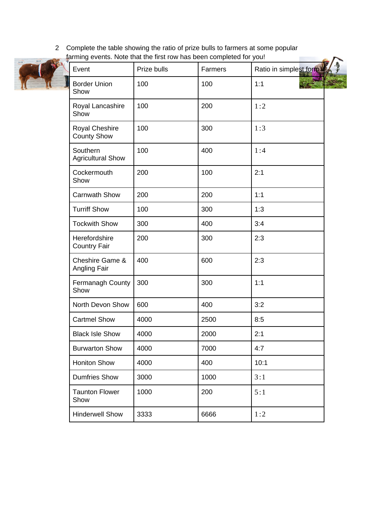2 Complete the table showing the ratio of prize bulls to farmers at some popular farming events. Note that the first row has been completed for you!



| Event                                | Prize bulls | Farmers | Ratio in simplest form |
|--------------------------------------|-------------|---------|------------------------|
| <b>Border Union</b><br>Show          | 100         | 100     | 1:1                    |
| Royal Lancashire<br>Show             | 100         | 200     | 1:2                    |
| Royal Cheshire<br><b>County Show</b> | 100         | 300     | 1:3                    |
| Southern<br><b>Agricultural Show</b> | 100         | 400     | 1:4                    |
| Cockermouth<br>Show                  | 200         | 100     | 2:1                    |
| <b>Carnwath Show</b>                 | 200         | 200     | 1:1                    |
| <b>Turriff Show</b>                  | 100         | 300     | 1:3                    |
| <b>Tockwith Show</b>                 | 300         | 400     | 3:4                    |
| Herefordshire<br><b>Country Fair</b> | 200         | 300     | 2:3                    |
| Cheshire Game &<br>Angling Fair      | 400         | 600     | 2:3                    |
| Fermanagh County<br>Show             | 300         | 300     | 1:1                    |
| North Devon Show                     | 600         | 400     | 3:2                    |
| <b>Cartmel Show</b>                  | 4000        | 2500    | 8:5                    |
| <b>Black Isle Show</b>               | 4000        | 2000    | 2:1                    |
| <b>Burwarton Show</b>                | 4000        | 7000    | 4:7                    |
| <b>Honiton Show</b>                  | 4000        | 400     | 10:1                   |
| <b>Dumfries Show</b>                 | 3000        | 1000    | 3:1                    |
| <b>Taunton Flower</b><br>Show        | 1000        | 200     | 5:1                    |
| <b>Hinderwell Show</b>               | 3333        | 6666    | 1:2                    |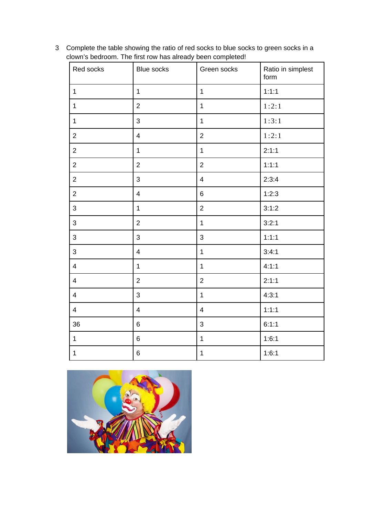Complete the table showing the ratio of red socks to blue socks to green socks in a clown's bedroom. The first row has already been completed!

| Red socks      | <b>Blue socks</b> | Green socks    | Ratio in simplest<br>form |
|----------------|-------------------|----------------|---------------------------|
| $\mathbf{1}$   | $\mathbf{1}$      | $\mathbf{1}$   | 1:1:1                     |
| $1\,$          | $\overline{2}$    | $\mathbf{1}$   | 1:2:1                     |
| $\mathbf 1$    | 3                 | $\mathbf{1}$   | 1:3:1                     |
| $\overline{2}$ | $\overline{4}$    | $\overline{2}$ | 1:2:1                     |
| $\overline{2}$ | $\mathbf{1}$      | $\mathbf{1}$   | 2:1:1                     |
| $\overline{2}$ | $\overline{2}$    | $\overline{2}$ | 1:1:1                     |
| $\overline{2}$ | 3                 | $\overline{4}$ | 2:3:4                     |
| $\mathbf{2}$   | $\pmb{4}$         | $\,6$          | 1:2:3                     |
| 3              | $\mathbf 1$       | $\overline{c}$ | 3:1:2                     |
| 3              | $\overline{2}$    | $\mathbf{1}$   | 3:2:1                     |
| 3              | 3                 | 3              | 1:1:1                     |
| 3              | $\overline{4}$    | $\mathbf 1$    | 3:4:1                     |
| $\overline{4}$ | $\mathbf{1}$      | $\mathbf{1}$   | 4:1:1                     |
| $\overline{4}$ | $\overline{2}$    | $\overline{2}$ | 2:1:1                     |
| $\overline{4}$ | 3                 | $\mathbf{1}$   | 4:3:1                     |
| $\overline{4}$ | $\overline{4}$    | $\overline{4}$ | 1:1:1                     |
| 36             | $6\phantom{a}$    | 3              | 6:1:1                     |
| $\mathbf 1$    | $6\phantom{a}$    | $\mathbf{1}$   | 1:6:1                     |
| $\mathbf 1$    | $\,6$             | $\mathbf 1$    | 1:6:1                     |

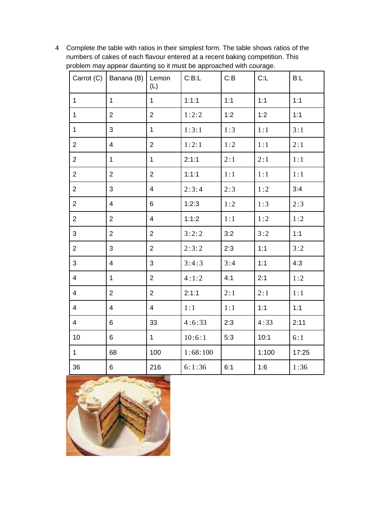Complete the table with ratios in their simplest form. The table shows ratios of the numbers of cakes of each flavour entered at a recent baking competition. This problem may appear daunting so it must be approached with courage.

|                | Carrot (C)   Banana (B)   Lemon | (L)            | C:B:L    | C:B | C: L  | B: L  |
|----------------|---------------------------------|----------------|----------|-----|-------|-------|
| $\mathbf{1}$   | $\mathbf{1}$                    | $\mathbf{1}$   | 1:1:1    | 1:1 | 1:1   | 1:1   |
| $\mathbf 1$    | $\overline{2}$                  | $\overline{2}$ | 1:2:2    | 1:2 | 1:2   | 1:1   |
| $\mathbf{1}$   | 3                               | $\mathbf{1}$   | 1:3:1    | 1:3 | 1:1   | 3:1   |
| $\overline{2}$ | $\overline{4}$                  | $\overline{2}$ | 1:2:1    | 1:2 | 1:1   | 2:1   |
| $\overline{2}$ | $\mathbf{1}$                    | $\mathbf{1}$   | 2:1:1    | 2:1 | 2:1   | 1:1   |
| $\overline{2}$ | $\overline{2}$                  | $\overline{2}$ | 1:1:1    | 1:1 | 1:1   | 1:1   |
| $\overline{2}$ | 3                               | $\overline{4}$ | 2:3:4    | 2:3 | 1:2   | 3:4   |
| $\overline{2}$ | $\overline{4}$                  | 6              | 1:2:3    | 1:2 | 1:3   | 2:3   |
| $\overline{2}$ | $\overline{2}$                  | 4              | 1:1:2    | 1:1 | 1:2   | 1:2   |
| 3              | $\overline{2}$                  | $\overline{2}$ | 3:2:2    | 3:2 | 3:2   | 1:1   |
| $\overline{2}$ | 3                               | $\overline{2}$ | 2:3:2    | 2:3 | 1:1   | 3:2   |
| 3              | 4                               | 3              | 3:4:3    | 3:4 | 1:1   | 4:3   |
| $\overline{4}$ | $\mathbf{1}$                    | $\overline{2}$ | 4:1:2    | 4:1 | 2:1   | 1:2   |
| 4              | $\overline{2}$                  | $\overline{2}$ | 2:1:1    | 2:1 | 2:1   | 1:1   |
| $\overline{4}$ | 4                               | 4              | 1:1      | 1:1 | 1:1   | 1:1   |
| $\overline{4}$ | 6                               | 33             | 4:6:33   | 2:3 | 4:33  | 2:11  |
| 10             | $6\phantom{.}$                  | $\mathbf{1}$   | 10:6:1   | 5:3 | 10:1  | 6:1   |
| $\mathbf{1}$   | 68                              | 100            | 1:68:100 |     | 1:100 | 17:25 |
| 36             | $6\phantom{a}$                  | 216            | 6:1:36   | 6:1 | 1:6   | 1:36  |

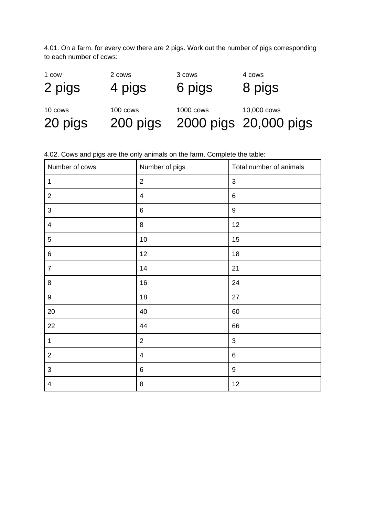4.01. On a farm, for every cow there are 2 pigs. Work out the number of pigs corresponding to each number of cows:

| 1 cow   | 2 cows   | 3 cows           | 4 cows                |
|---------|----------|------------------|-----------------------|
| 2 pigs  | 4 pigs   | 6 pigs           | 8 pigs                |
| 10 cows | 100 cows | <b>1000 cows</b> | 10,000 cows           |
| 20 pigs | 200 pigs |                  | 2000 pigs 20,000 pigs |

4.02. Cows and pigs are the only animals on the farm. Complete the table:

| Number of cows | Number of pigs | Total number of animals |
|----------------|----------------|-------------------------|
| $\mathbf{1}$   | $\overline{2}$ | 3                       |
| $\overline{2}$ | $\overline{4}$ | $\,6\,$                 |
| $\mathbf{3}$   | $\,6\,$        | $\boldsymbol{9}$        |
| 4              | 8              | 12                      |
| 5              | 10             | 15                      |
| 6              | 12             | 18                      |
| $\overline{7}$ | 14             | 21                      |
| 8              | 16             | 24                      |
| 9              | 18             | 27                      |
| $20\,$         | 40             | 60                      |
| 22             | 44             | 66                      |
| $\mathbf 1$    | $\overline{c}$ | $\mathsf 3$             |
| $\overline{2}$ | $\overline{4}$ | $\,6\,$                 |
| 3              | $\,6\,$        | $\boldsymbol{9}$        |
| $\pmb{4}$      | 8              | 12                      |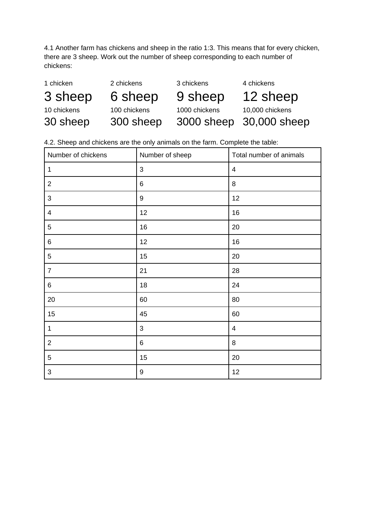4.1 Another farm has chickens and sheep in the ratio 1:3. This means that for every chicken, there are 3 sheep. Work out the number of sheep corresponding to each number of chickens:

| 1 chicken   | 2 chickens   | 3 chickens    | 4 chickens              |
|-------------|--------------|---------------|-------------------------|
| 3 sheep     | 6 sheep      | 9 sheep       | 12 sheep                |
| 10 chickens | 100 chickens | 1000 chickens | 10,000 chickens         |
| 30 sheep    | 300 sheep    |               | 3000 sheep 30,000 sheep |

4.2. Sheep and chickens are the only animals on the farm. Complete the table:

| Number of chickens        | Number of sheep  | Total number of animals |
|---------------------------|------------------|-------------------------|
| $\mathbf 1$               | $\mathsf 3$      | $\overline{4}$          |
| $\overline{c}$            | 6                | 8                       |
| $\mathbf{3}$              | 9                | 12                      |
| $\overline{\mathcal{A}}$  | 12               | 16                      |
| 5                         | 16               | 20                      |
| 6                         | 12               | 16                      |
| 5                         | 15               | 20                      |
| $\overline{7}$            | 21               | 28                      |
| 6                         | 18               | 24                      |
| $20\,$                    | 60               | 80                      |
| 15                        | 45               | 60                      |
| $\mathbf 1$               | $\mathbf{3}$     | $\pmb{4}$               |
| $\overline{c}$            | $\,6$            | $\, 8$                  |
| 5                         | 15               | $20\,$                  |
| $\ensuremath{\mathsf{3}}$ | $\boldsymbol{9}$ | 12                      |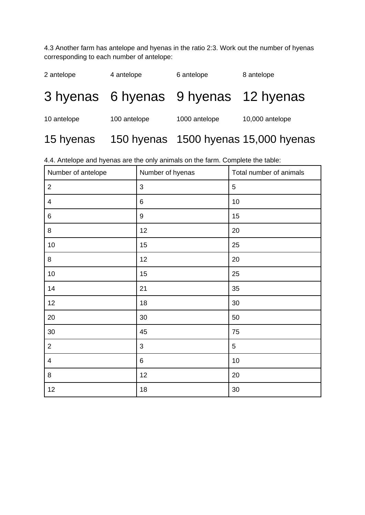4.3 Another farm has antelope and hyenas in the ratio 2:3. Work out the number of hyenas corresponding to each number of antelope:

| 2 antelope  | 4 antelope   | 6 antelope                           | 8 antelope                           |
|-------------|--------------|--------------------------------------|--------------------------------------|
|             |              | 3 hyenas 6 hyenas 9 hyenas 12 hyenas |                                      |
| 10 antelope | 100 antelope | 1000 antelope                        | 10,000 antelope                      |
| 15 hyenas   |              |                                      | 150 hyenas 1500 hyenas 15,000 hyenas |

4.4. Antelope and hyenas are the only animals on the farm. Complete the table:

| Number of antelope       | Number of hyenas | Total number of animals |
|--------------------------|------------------|-------------------------|
| $\mathbf{2}$             | 3                | 5                       |
| 4                        | $\,6$            | $10\,$                  |
| 6                        | 9                | 15                      |
| 8                        | 12               | 20                      |
| $10\,$                   | 15               | 25                      |
| 8                        | 12               | 20                      |
| $10\,$                   | 15               | 25                      |
| $14\,$                   | 21               | 35                      |
| 12                       | 18               | 30                      |
| 20                       | 30               | 50                      |
| 30                       | 45               | 75                      |
| $\mathbf{2}$             | 3                | 5                       |
| $\overline{\mathcal{A}}$ | 6                | 10                      |
| 8                        | 12               | 20                      |
| 12                       | 18               | 30                      |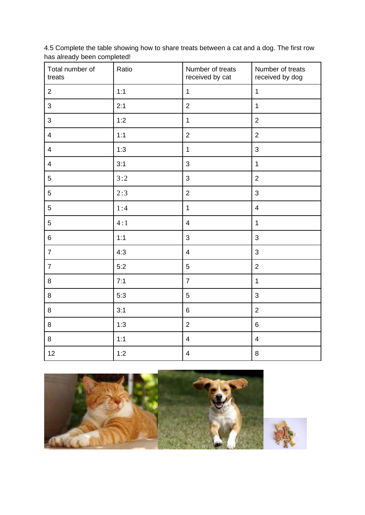4.5 Complete the table showing how to share treats between a cat and a dog. The first row has already been completed!

| Total number of<br>treats | Ratio | Number of treats<br>received by cat | Number of treats<br>received by dog |
|---------------------------|-------|-------------------------------------|-------------------------------------|
| $\overline{2}$            | 1:1   | $\mathbf 1$                         | $\mathbf 1$                         |
| 3                         | 2:1   | $\overline{2}$                      | $\mathbf{1}$                        |
| 3                         | 1:2   | $\mathbf 1$                         | $\overline{2}$                      |
| $\overline{4}$            | 1:1   | $\overline{2}$                      | $\overline{2}$                      |
| $\overline{4}$            | 1:3   | $\mathbf{1}$                        | 3                                   |
| $\overline{4}$            | 3:1   | 3                                   | $\mathbf{1}$                        |
| 5                         | 3:2   | 3                                   | $\overline{2}$                      |
| 5                         | 2:3   | $\overline{2}$                      | 3                                   |
| 5                         | 1:4   | $\mathbf 1$                         | $\overline{\mathbf{4}}$             |
| 5                         | 4:1   | $\overline{4}$                      | $\mathbf{1}$                        |
| 6                         | 1:1   | 3                                   | 3                                   |
| $\overline{7}$            | 4:3   | $\overline{\mathbf{4}}$             | 3                                   |
| $\overline{7}$            | 5:2   | 5                                   | $\overline{2}$                      |
| 8                         | 7:1   | $\overline{7}$                      | $\mathbf{1}$                        |
| 8                         | 5:3   | 5                                   | 3                                   |
| 8                         | 3:1   | 6                                   | $\overline{2}$                      |
| 8                         | 1:3   | $\overline{2}$                      | $6\phantom{a}$                      |
| 8                         | 1:1   | $\overline{4}$                      | $\overline{4}$                      |
| 12                        | 1:2   | $\pmb{4}$                           | 8                                   |



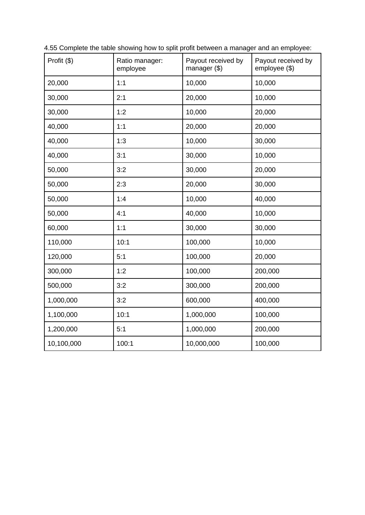| Profit (\$) | Ratio manager:<br>employee | Payout received by<br>manager (\$) | Payout received by<br>employee (\$) |
|-------------|----------------------------|------------------------------------|-------------------------------------|
| 20,000      | 1:1                        | 10,000                             | 10,000                              |
| 30,000      | 2:1                        | 20,000                             | 10,000                              |
| 30,000      | 1:2                        | 10,000                             | 20,000                              |
| 40,000      | 1:1                        | 20,000                             | 20,000                              |
| 40,000      | 1:3                        | 10,000                             | 30,000                              |
| 40,000      | 3:1                        | 30,000                             | 10,000                              |
| 50,000      | 3:2                        | 30,000                             | 20,000                              |
| 50,000      | 2:3                        | 20,000                             | 30,000                              |
| 50,000      | 1:4                        | 10,000                             | 40,000                              |
| 50,000      | 4:1                        | 40,000                             | 10,000                              |
| 60,000      | 1:1                        | 30,000                             | 30,000                              |
| 110,000     | 10:1                       | 100,000                            | 10,000                              |
| 120,000     | 5:1                        | 100,000                            | 20,000                              |
| 300,000     | 1:2                        | 100,000                            | 200,000                             |
| 500,000     | 3:2                        | 300,000                            | 200,000                             |
| 1,000,000   | 3:2                        | 600,000                            | 400,000                             |
| 1,100,000   | 10:1                       | 1,000,000                          | 100,000                             |
| 1,200,000   | 5:1                        | 1,000,000                          | 200,000                             |
| 10,100,000  | 100:1                      | 10,000,000                         | 100,000                             |

4.55 Complete the table showing how to split profit between a manager and an employee: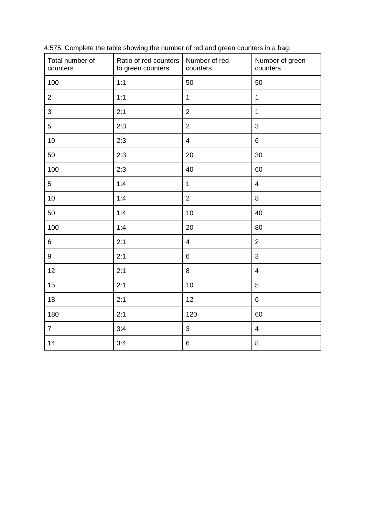| Total number of<br>counters | Ratio of red counters<br>Number of red<br>to green counters<br>counters |                         | Number of green<br>counters |
|-----------------------------|-------------------------------------------------------------------------|-------------------------|-----------------------------|
| 100                         | 1:1                                                                     | 50                      | 50                          |
| $\overline{2}$              | 1:1                                                                     | $\mathbf{1}$            | $\mathbf{1}$                |
| 3                           | 2:1                                                                     | $\overline{2}$          | $\mathbf{1}$                |
| 5                           | 2:3                                                                     | $\overline{2}$          | $\mathsf{3}$                |
| 10                          | 2:3                                                                     | $\overline{\mathbf{4}}$ | $6\phantom{a}$              |
| 50                          | 2:3                                                                     | 20                      | 30                          |
| 100                         | 2:3                                                                     | 40                      | 60                          |
| 5                           | 1:4                                                                     | $\mathbf 1$             | $\overline{4}$              |
| 10                          | 1:4                                                                     | $\overline{2}$          | 8                           |
| 50                          | 1:4                                                                     | 10                      | 40                          |
| 100                         | 1:4                                                                     | 20                      | 80                          |
| $6\phantom{a}$              | 2:1                                                                     | $\overline{\mathbf{4}}$ | $\overline{2}$              |
| 9                           | 2:1                                                                     | 6                       | 3                           |
| 12                          | 2:1                                                                     | 8                       | $\overline{\mathbf{4}}$     |
| 15                          | 2:1                                                                     | 10                      | 5                           |
| 18                          | 2:1                                                                     | 12                      | $6\phantom{a}$              |
| 180                         | 2:1                                                                     | 120                     | 60                          |
| $\overline{7}$              | 3:4                                                                     | 3                       | $\overline{4}$              |
| 14                          | 3:4                                                                     | $\,6$                   | $\, 8$                      |

4.575. Complete the table showing the number of red and green counters in a bag: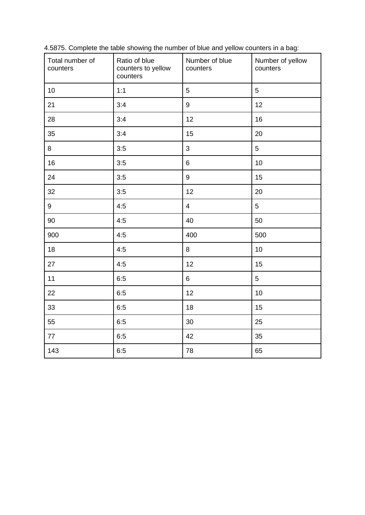| Total number of<br>counters | Ratio of blue<br>counters to yellow<br>counters | Number of blue<br>Number of yellow<br>counters<br>counters |     |
|-----------------------------|-------------------------------------------------|------------------------------------------------------------|-----|
| 10                          | 1:1                                             | 5                                                          | 5   |
| 21                          | 3:4                                             | 9                                                          | 12  |
| 28                          | 3:4                                             | 12                                                         | 16  |
| 35                          | 3:4                                             | 15                                                         | 20  |
| 8                           | 3:5                                             | 3                                                          | 5   |
| 16                          | 3:5                                             | 6                                                          | 10  |
| 24                          | 3:5                                             |                                                            | 15  |
| 32                          | 3:5                                             |                                                            | 20  |
| 9                           | 4:5                                             | $\overline{4}$                                             | 5   |
| 90<br>4:5                   |                                                 | 40                                                         | 50  |
| 900                         | 4:5                                             |                                                            | 500 |
| 18                          | 4:5                                             | 8                                                          | 10  |
| 27                          | 4:5                                             | 12                                                         | 15  |
| 11                          | 6:5                                             | 6                                                          | 5   |
| 22                          | 6:5                                             | 12                                                         | 10  |
| 33                          | 6:5                                             | 18                                                         | 15  |
| 55                          | 6:5                                             | 30                                                         | 25  |
| 77                          | 6:5                                             | 42                                                         | 35  |
| 143                         | 6:5                                             | 78                                                         | 65  |

4.5875. Complete the table showing the number of blue and yellow counters in a bag: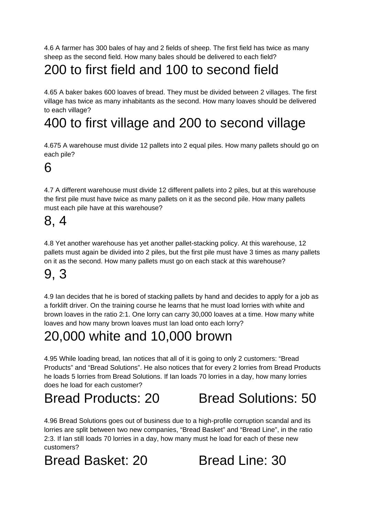4.6 A farmer has 300 bales of hay and 2 fields of sheep. The first field has twice as many sheep as the second field. How many bales should be delivered to each field?

# 200 to first field and 100 to second field

4.65 A baker bakes 600 loaves of bread. They must be divided between 2 villages. The first village has twice as many inhabitants as the second. How many loaves should be delivered to each village?

# 400 to first village and 200 to second village

4.675 A warehouse must divide 12 pallets into 2 equal piles. How many pallets should go on each pile?

#### 6

4.7 A different warehouse must divide 12 different pallets into 2 piles, but at this warehouse the first pile must have twice as many pallets on it as the second pile. How many pallets must each pile have at this warehouse?

## 8, 4

4.8 Yet another warehouse has yet another pallet-stacking policy. At this warehouse, 12 pallets must again be divided into 2 piles, but the first pile must have 3 times as many pallets on it as the second. How many pallets must go on each stack at this warehouse?

### 9, 3

4.9 Ian decides that he is bored of stacking pallets by hand and decides to apply for a job as a forklift driver. On the training course he learns that he must load lorries with white and brown loaves in the ratio 2:1. One lorry can carry 30,000 loaves at a time. How many white loaves and how many brown loaves must Ian load onto each lorry?

# 20,000 white and 10,000 brown

4.95 While loading bread, Ian notices that all of it is going to only 2 customers: "Bread Products" and "Bread Solutions". He also notices that for every 2 lorries from Bread Products he loads 5 lorries from Bread Solutions. If Ian loads 70 lorries in a day, how many lorries does he load for each customer?

# Bread Products: 20 Bread Solutions: 50

4.96 Bread Solutions goes out of business due to a high-profile corruption scandal and its lorries are split between two new companies, "Bread Basket" and "Bread Line", in the ratio 2:3. If Ian still loads 70 lorries in a day, how many must he load for each of these new customers?

Bread Basket: 20 Bread Line: 30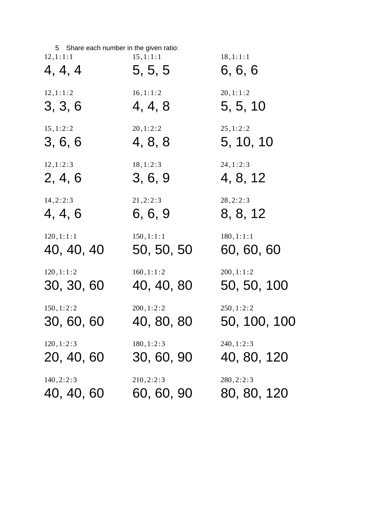| 5 Share each number in the given ratio: |            |              |
|-----------------------------------------|------------|--------------|
| 12, 1:1:1                               | 15, 1:1:1  | 18, 1:1:1    |
| 4, 4, 4                                 | 5, 5, 5    | 6, 6, 6      |
| 12, 1:1:2                               | 16, 1:1:2  | 20, 1:1:2    |
| 3, 3, 6                                 | 4, 4, 8    | 5, 5, 10     |
| 15, 1:2:2                               | 20, 1:2:2  | 25, 1:2:2    |
| 3, 6, 6                                 | 4, 8, 8    | 5, 10, 10    |
| 12, 1:2:3                               | 18, 1:2:3  | 24, 1:2:3    |
| 2, 4, 6                                 | 3, 6, 9    | 4, 8, 12     |
| 14, 2:2:3                               | 21, 2:2:3  | 28, 2:2:3    |
| 4, 4, 6                                 | 6, 6, 9    | 8, 8, 12     |
| 120, 1:1:1                              | 150, 1:1:1 | 180, 1:1:1   |
| 40, 40, 40                              | 50, 50, 50 | 60, 60, 60   |
| 120, 1:1:2                              | 160, 1:1:2 | 200, 1:1:2   |
| 30, 30, 60                              | 40, 40, 80 | 50, 50, 100  |
| 150, 1:2:2                              | 200, 1:2:2 | 250, 1:2:2   |
| 30, 60, 60                              | 40, 80, 80 | 50, 100, 100 |
| 120, 1:2:3                              | 180, 1:2:3 | 240, 1:2:3   |
| 20, 40, 60                              | 30, 60, 90 | 40, 80, 120  |
| 140, 2:2:3                              | 210, 2:2:3 | 280, 2:2:3   |
| 40, 40, 60                              | 60, 60, 90 | 80, 80, 120  |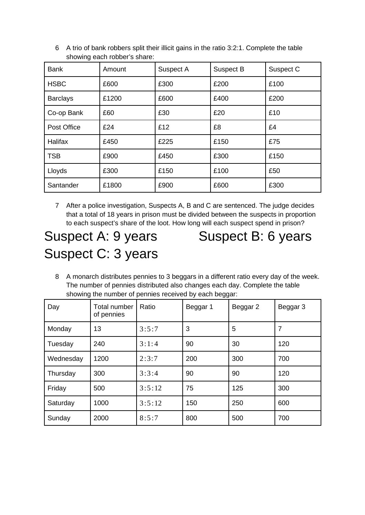| <b>Bank</b>     | Amount | Suspect A | Suspect B | Suspect C |
|-----------------|--------|-----------|-----------|-----------|
| <b>HSBC</b>     | £600   | £300      | £200      | £100      |
| <b>Barclays</b> | £1200  | £600      | £400      | £200      |
| Co-op Bank      | £60    | £30       | £20       | £10       |
| Post Office     | £24    | £12       | £8        | £4        |
| Halifax         | £450   | £225      | £150      | £75       |
| <b>TSB</b>      | £900   | £450      | £300      | £150      |
| Lloyds          | £300   | £150      | £100      | £50       |
| Santander       | £1800  | £900      | £600      | £300      |

6 A trio of bank robbers split their illicit gains in the ratio 3:2:1. Complete the table showing each robber's share:

7 After a police investigation, Suspects A, B and C are sentenced. The judge decides that a total of 18 years in prison must be divided between the suspects in proportion to each suspect's share of the loot. How long will each suspect spend in prison?

# Suspect C: 3 years

Suspect A: 9 years Suspect B: 6 years

8 A monarch distributes pennies to 3 beggars in a different ratio every day of the week. The number of pennies distributed also changes each day. Complete the table showing the number of pennies received by each beggar:

| Day       | <b>Total number</b><br>of pennies | Ratio  | Beggar 1 | Beggar 2 | Beggar 3 |
|-----------|-----------------------------------|--------|----------|----------|----------|
| Monday    | 13                                | 3:5:7  | 3        | 5        | 7        |
| Tuesday   | 240                               | 3:1:4  | 90       | 30       | 120      |
| Wednesday | 1200                              | 2:3:7  | 200      | 300      | 700      |
| Thursday  | 300                               | 3:3:4  | 90       | 90       | 120      |
| Friday    | 500                               | 3:5:12 | 75       | 125      | 300      |
| Saturday  | 1000                              | 3:5:12 | 150      | 250      | 600      |
| Sunday    | 2000                              | 8:5:7  | 800      | 500      | 700      |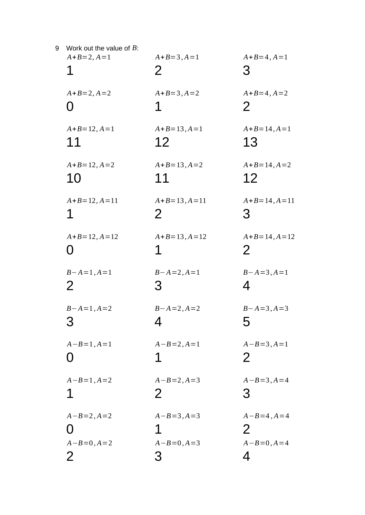| 9 | Work out the value of $B$ :<br>$A + B = 2, A = 1$<br>1     | $A + B = 3, A = 1$<br>2                            | $A + B = 4, A = 1$<br>3                                            |
|---|------------------------------------------------------------|----------------------------------------------------|--------------------------------------------------------------------|
|   | $A + B = 2, A = 2$                                         | $A + B = 3, A = 2$                                 | $A + B = 4, A = 2$                                                 |
|   | ( )                                                        | 1                                                  | 2                                                                  |
|   | $A + B = 12, A = 1$                                        | $A + B = 13, A = 1$                                | $A + B = 14, A = 1$                                                |
|   | 11                                                         | 12                                                 | 13                                                                 |
|   | $A + B = 12, A = 2$                                        | $A+B=13, A=2$                                      | $A + B = 14, A = 2$                                                |
|   | 10                                                         | 11                                                 | 12                                                                 |
|   | $A + B = 12, A = 11$                                       | $A+B=13, A=11$                                     | $A + B = 14, A = 11$                                               |
|   | 1                                                          | $\overline{2}$                                     | 3                                                                  |
|   | $A + B = 12, A = 12$                                       | $A + B = 13, A = 12$                               | $A + B = 14, A = 12$                                               |
|   | $\mathbf{\Omega}$                                          | 1                                                  | $\overline{2}$                                                     |
|   | $B - A = 1, A = 1$                                         | $B - A = 2, A = 1$                                 | $B - A = 3, A = 1$                                                 |
|   | $\overline{2}$                                             | З                                                  | 4                                                                  |
|   | $B - A = 1, A = 2$                                         | $B - A = 2, A = 2$                                 | $B - A = 3, A = 3$                                                 |
|   | ٽ                                                          | 4                                                  | ხ                                                                  |
|   | $A - B = 1, A = 1$                                         | $A - B = 2, A = 1$<br>1                            | $A - B = 3, A = 1$<br>2                                            |
|   | $A - B = 1, A = 2$                                         | $A - B = 2, A = 3$                                 | $A - B = 3, A = 4$                                                 |
|   | 1                                                          | $\overline{2}$                                     | 3                                                                  |
|   | $A - B = 2, A = 2$<br>$A - B = 0, A = 2$<br>$\overline{2}$ | $A - B = 3, A = 3$<br>1<br>$A - B = 0, A = 3$<br>3 | $A - B = 4$ , $A = 4$<br>$\overline{2}$<br>$A - B = 0, A = 4$<br>4 |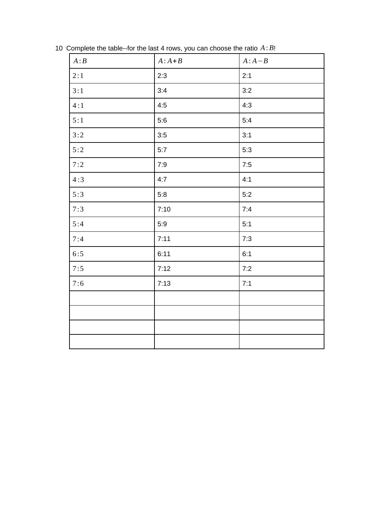| A:B | $A:A+B$ | $A:A-B$ |
|-----|---------|---------|
| 2:1 | 2:3     | 2:1     |
| 3:1 | 3:4     | 3:2     |
| 4:1 | 4:5     | 4:3     |
| 5:1 | 5:6     | 5:4     |
| 3:2 | 3:5     | 3:1     |
| 5:2 | 5:7     | 5:3     |
| 7:2 | 7:9     | 7:5     |
| 4:3 | 4:7     | 4:1     |
| 5:3 | 5:8     | 5:2     |
| 7:3 | 7:10    | 7:4     |
| 5:4 | 5:9     | 5:1     |
| 7:4 | 7:11    | 7:3     |
| 6:5 | 6:11    | 6:1     |
| 7:5 | 7:12    | 7:2     |
| 7:6 | 7:13    | 7:1     |
|     |         |         |
|     |         |         |
|     |         |         |
|     |         |         |

Complete the table--for the last 4 rows, you can choose the ratio *A*: *B*!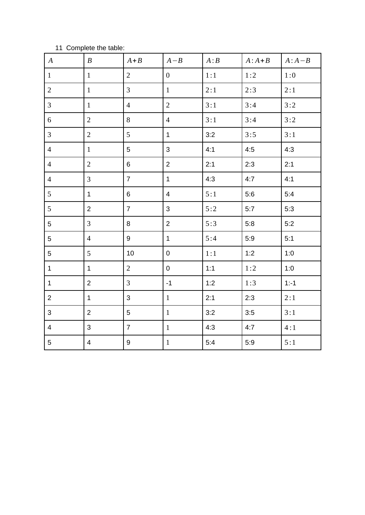#### Complete the table:

| $\boldsymbol{A}$ | $\boldsymbol{B}$ | $A + B$          | $A - B$             | A:B | $A:A+B$ | $A:A-B$ |
|------------------|------------------|------------------|---------------------|-----|---------|---------|
| $\mathbf{1}$     | $\mathbf{1}$     | $\overline{2}$   | $\overline{0}$      | 1:1 | 1:2     | 1:0     |
| $\overline{2}$   | $\mathbf{1}$     | $\mathbf{3}$     | $\mathbf{1}$        | 2:1 | 2:3     | 2:1     |
| $\mathbf{3}$     | $\mathbf{1}$     | $\overline{4}$   | $\overline{2}$      | 3:1 | 3:4     | 3:2     |
| $6\,$            | $\overline{2}$   | $\, 8$           | $\overline{4}$      | 3:1 | 3:4     | 3:2     |
| $\overline{3}$   | $\overline{2}$   | 5                | $\mathbf{1}$        | 3:2 | 3:5     | 3:1     |
| $\overline{4}$   | $\mathbf{1}$     | 5                | 3                   | 4:1 | 4:5     | 4:3     |
| $\overline{4}$   | $\overline{2}$   | $\,6\,$          | $\overline{2}$      | 2:1 | 2:3     | 2:1     |
| $\overline{4}$   | $\mathbf{3}$     | $\overline{7}$   | $\mathbf 1$         | 4:3 | 4:7     | 4:1     |
| 5                | $\mathbf 1$      | $\,6\,$          | $\overline{4}$      | 5:1 | 5:6     | 5:4     |
| 5                | $\overline{2}$   | $\overline{7}$   | 3                   | 5:2 | 5:7     | 5:3     |
| 5                | $\overline{3}$   | 8                | $\overline{2}$      | 5:3 | 5:8     | 5:2     |
| 5                | $\overline{4}$   | $\boldsymbol{9}$ | $\mathbf 1$         | 5:4 | 5:9     | 5:1     |
| 5                | 5                | 10               | $\pmb{0}$           | 1:1 | 1:2     | 1:0     |
| $\mathbf 1$      | $\mathbf 1$      | $\overline{2}$   | $\mathsf{O}\xspace$ | 1:1 | 1:2     | 1:0     |
| $\mathbf 1$      | $\overline{2}$   | 3                | $\textnormal{-1}$   | 1:2 | 1:3     | $1: -1$ |
| $\overline{2}$   | $\mathbf{1}$     | 3                | $\mathbf{1}$        | 2:1 | 2:3     | 2:1     |
| 3                | $\overline{2}$   | 5                | $\mathbf{1}$        | 3:2 | 3:5     | 3:1     |
| $\overline{4}$   | 3                | $\overline{7}$   | $1\,$               | 4:3 | 4:7     | 4:1     |
| 5                | $\overline{4}$   | $\boldsymbol{9}$ | $\mathbf 1$         | 5:4 | 5:9     | 5:1     |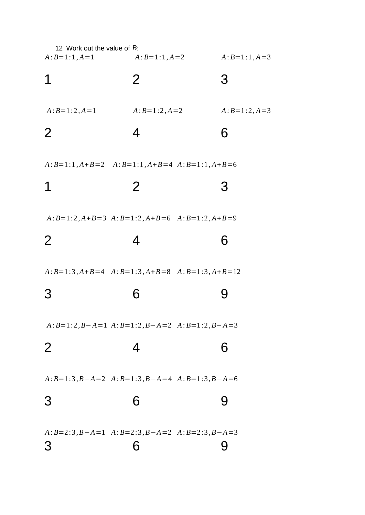| 12 Work out the value of B:<br>$A:B=1:1, A=1$ | $A:B=1:1, A=2$                                      | $A:B=1:1,A=3$  |
|-----------------------------------------------|-----------------------------------------------------|----------------|
| 1                                             | $\overline{2}$                                      | 3              |
| $A:B=1:2, A=1$                                | $A:B=1:2, A=2$                                      | $A:B=1:2, A=3$ |
| $\overline{2}$                                | 4                                                   | 6              |
|                                               | $A:B=1:1, A+B=2$ $A:B=1:1, A+B=4$ $A:B=1:1, A+B=6$  |                |
| 1                                             | 2 <sup>1</sup>                                      | 3              |
|                                               | $A:B=1:2, A+B=3$ $A:B=1:2, A+B=6$ $A:B=1:2, A+B=9$  |                |
| $\overline{2}$                                | 4                                                   | 6              |
|                                               | $A:B=1:3, A+B=4$ $A:B=1:3, A+B=8$ $A:B=1:3, A+B=12$ |                |
| З                                             | 6                                                   | 9              |
|                                               | $A:B=1:2, B-A=1 \ A:B=1:2, B-A=2 \ A:B=1:2, B-A=3$  |                |
| $\overline{2}$                                | 4                                                   | 6              |
|                                               | $A:B=1:3, B-A=2$ $A:B=1:3, B-A=4$ $A:B=1:3, B-A=6$  |                |
| 3                                             | 6                                                   | 9              |
|                                               | $A:B=2:3, B-A=1$ $A:B=2:3, B-A=2$ $A:B=2:3, B-A=3$  |                |
| З                                             | 6                                                   | 9              |